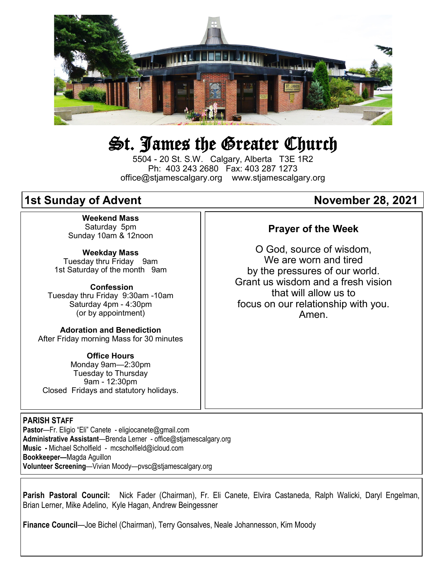

# St. James the Greater Church

5504 - 20 St. S.W. Calgary, Alberta T3E 1R2 Ph: 403 243 2680 Fax: 403 287 1273 office@stjamescalgary.org www.stjamescalgary.org

# **1st Sunday of Advent 18, 2021 November 28, 2021**

**Weekend Mass** Saturday 5pm Sunday 10am & 12noon

**Weekday Mass** Tuesday thru Friday 9am 1st Saturday of the month 9am

**Confession** Tuesday thru Friday 9:30am -10am Saturday 4pm - 4:30pm (or by appointment)

**Adoration and Benediction**  After Friday morning Mass for 30 minutes

**Office Hours**  Monday 9am—2:30pm Tuesday to Thursday 9am - 12:30pm Closed Fridays and statutory holidays.

#### **PARISH STAFF**

**Pastor**—Fr. Eligio "Eli" Canete - eligiocanete@gmail.com **Administrative Assistant**—Brenda Lerner - office@stjamescalgary.org **Music -** Michael Scholfield - mcscholfield@icloud.com **Bookkeeper—**Magda Aguillon **Volunteer Screening**—Vivian Moody—pvsc@stjamescalgary.org

#### **Parish Pastoral Council:** Nick Fader (Chairman), Fr. Eli Canete, Elvira Castaneda, Ralph Walicki, Daryl Engelman, Brian Lerner, Mike Adelino, Kyle Hagan, Andrew Beingessner

**Finance Council**—Joe Bichel (Chairman), Terry Gonsalves, Neale Johannesson, Kim Moody

# **Prayer of the Week**

O God, source of wisdom, We are worn and tired by the pressures of our world. Grant us wisdom and a fresh vision that will allow us to focus on our relationship with you. Amen.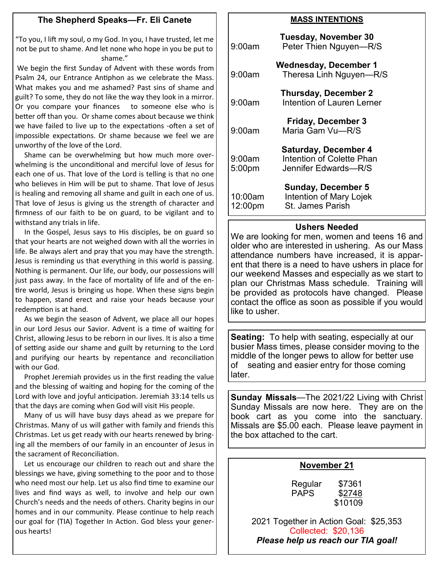# **The Shepherd Speaks—Fr. Eli Canete**

"To you, I lift my soul, o my God. In you, I have trusted, let me not be put to shame. And let none who hope in you be put to shame."

We begin the first Sunday of Advent with these words from Psalm 24, our Entrance Antiphon as we celebrate the Mass. What makes you and me ashamed? Past sins of shame and guilt? To some, they do not like the way they look in a mirror. Or you compare your finances to someone else who is better off than you. Or shame comes about because we think we have failed to live up to the expectations -often a set of impossible expectations. Or shame because we feel we are unworthy of the love of the Lord.

 Shame can be overwhelming but how much more overwhelming is the unconditional and merciful love of Jesus for each one of us. That love of the Lord is telling is that no one who believes in Him will be put to shame. That love of Jesus is healing and removing all shame and guilt in each one of us. That love of Jesus is giving us the strength of character and firmness of our faith to be on guard, to be vigilant and to withstand any trials in life.

 In the Gospel, Jesus says to His disciples, be on guard so that your hearts are not weighed down with all the worries in life. Be always alert and pray that you may have the strength. Jesus is reminding us that everything in this world is passing. Nothing is permanent. Our life, our body, our possessions will just pass away. In the face of mortality of life and of the entire world, Jesus is bringing us hope. When these signs begin to happen, stand erect and raise your heads because your redemption is at hand.

 As we begin the season of Advent, we place all our hopes in our Lord Jesus our Savior. Advent is a time of waiting for Christ, allowing Jesus to be reborn in our lives. It is also a time of setting aside our shame and guilt by returning to the Lord and purifying our hearts by repentance and reconciliation with our God.

 Prophet Jeremiah provides us in the first reading the value and the blessing of waiting and hoping for the coming of the Lord with love and joyful anticipation. Jeremiah 33:14 tells us that the days are coming when God will visit His people.

 Many of us will have busy days ahead as we prepare for Christmas. Many of us will gather with family and friends this Christmas. Let us get ready with our hearts renewed by bringing all the members of our family in an encounter of Jesus in the sacrament of Reconciliation.

 Let us encourage our children to reach out and share the blessings we have, giving something to the poor and to those who need most our help. Let us also find time to examine our lives and find ways as well, to involve and help our own Church's needs and the needs of others. Charity begins in our homes and in our community. Please continue to help reach our goal for (TIA) Together In Action. God bless your generous hearts!

#### **MASS INTENTIONS**

| 9:00am             | Tuesday, November 30<br>Peter Thien Nguyen-R/S                                   |
|--------------------|----------------------------------------------------------------------------------|
| 9:00am             | <b>Wednesday, December 1</b><br>Theresa Linh Nguyen-R/S                          |
| 9:00am             | <b>Thursday, December 2</b><br>Intention of Lauren Lerner                        |
| 9:00am             | <b>Friday, December 3</b><br>Maria Gam Vu-R/S                                    |
| 9:00am<br>5:00pm   | <b>Saturday, December 4</b><br>Intention of Colette Phan<br>Jennifer Edwards-R/S |
| 10:00am<br>12:00pm | <b>Sunday, December 5</b><br>Intention of Mary Lojek<br><b>St. James Parish</b>  |

#### **Ushers Needed**

We are looking for men, women and teens 16 and older who are interested in ushering. As our Mass attendance numbers have increased, it is apparent that there is a need to have ushers in place for our weekend Masses and especially as we start to plan our Christmas Mass schedule. Training will be provided as protocols have changed. Please contact the office as soon as possible if you would like to usher.

**Seating:** To help with seating, especially at our busier Mass times, please consider moving to the middle of the longer pews to allow for better use of seating and easier entry for those coming later.

**Sunday Missals**—The 2021/22 Living with Christ Sunday Missals are now here. They are on the book cart as you come into the sanctuary. Missals are \$5.00 each. Please leave payment in the box attached to the cart.

#### **November 21**

Regular \$7361 PAPS \$2748 \$10109

2021 Together in Action Goal: \$25,353 Collected: \$20,136 *Please help us reach our TIA goal!*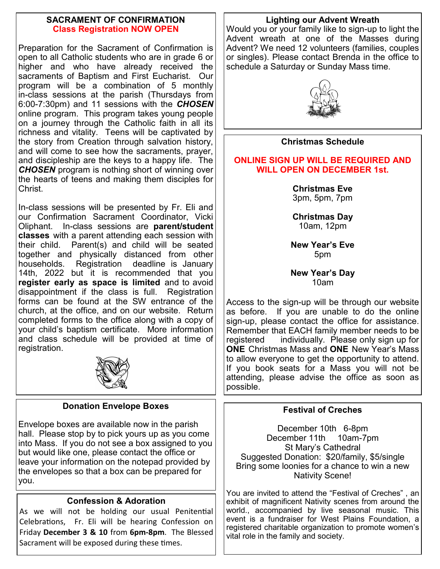# **SACRAMENT OF CONFIRMATION Class Registration NOW OPEN**

Preparation for the Sacrament of Confirmation is open to all Catholic students who are in grade 6 or higher and who have already received the sacraments of Baptism and First Eucharist. Our program will be a combination of 5 monthly in-class sessions at the parish (Thursdays from 6:00-7:30pm) and 11 sessions with the *CHOSEN*  online program. This program takes young people on a journey through the Catholic faith in all its richness and vitality. Teens will be captivated by the story from Creation through salvation history, and will come to see how the sacraments, prayer, and discipleship are the keys to a happy life. The *CHOSEN* program is nothing short of winning over the hearts of teens and making them disciples for Christ.

In-class sessions will be presented by Fr. Eli and our Confirmation Sacrament Coordinator, Vicki Oliphant. In-class sessions are **parent/student classes** with a parent attending each session with their child. Parent(s) and child will be seated together and physically distanced from other households. Registration deadline is January 14th, 2022 but it is recommended that you **register early as space is limited** and to avoid disappointment if the class is full. Registration forms can be found at the SW entrance of the church, at the office, and on our website. Return completed forms to the office along with a copy of your child's baptism certificate. More information and class schedule will be provided at time of registration.



# **Donation Envelope Boxes**

Envelope boxes are available now in the parish hall. Please stop by to pick yours up as you come into Mass. If you do not see a box assigned to you but would like one, please contact the office or leave your information on the notepad provided by the envelopes so that a box can be prepared for you.

# **Confession & Adoration**

As we will not be holding our usual Penitential Celebrations, Fr. Eli will be hearing Confession on Friday **December 3 & 10** from **6pm-8pm**. The Blessed Sacrament will be exposed during these times.

# **Lighting our Advent Wreath**

Would you or your family like to sign-up to light the Advent wreath at one of the Masses during Advent? We need 12 volunteers (families, couples or singles). Please contact Brenda in the office to schedule a Saturday or Sunday Mass time.



# **Christmas Schedule**

# **ONLINE SIGN UP WILL BE REQUIRED AND WILL OPEN ON DECEMBER 1st.**

**Christmas Eve**  3pm, 5pm, 7pm

**Christmas Day**  10am, 12pm

**New Year's Eve** 5pm

**New Year's Day** 10am

Access to the sign-up will be through our website as before. If you are unable to do the online sign-up, please contact the office for assistance. Remember that EACH family member needs to be registered individually. Please only sign up for **ONE** Christmas Mass and **ONE** New Year's Mass to allow everyone to get the opportunity to attend. If you book seats for a Mass you will not be attending, please advise the office as soon as possible.

# **Festival of Creches**

December 10th 6-8pm December 11th 10am-7pm St Mary's Cathedral Suggested Donation: \$20/family, \$5/single Bring some loonies for a chance to win a new Nativity Scene!

You are invited to attend the "Festival of Creches" , an exhibit of magnificent Nativity scenes from around the world., accompanied by live seasonal music. This event is a fundraiser for West Plains Foundation, a registered charitable organization to promote women's vital role in the family and society.